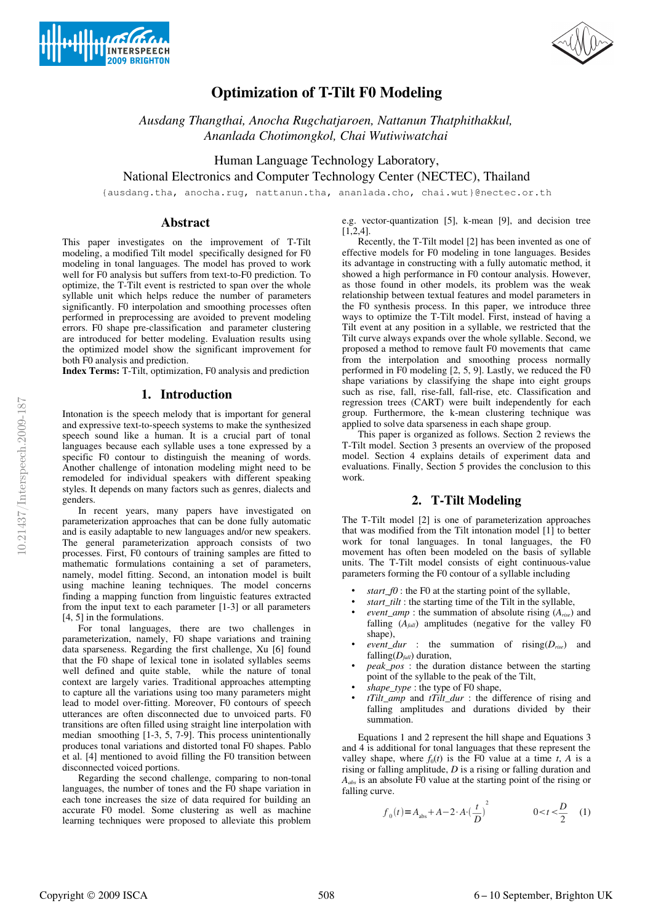



# Optimization of T-Tilt F0 Modeling

*Ausdang Thangthai, Anocha Rugchatjaroen, Nattanun Thatphithakkul, Ananlada Chotimongkol, Chai Wutiwiwatchai*

Human Language Technology Laboratory, National Electronics and Computer Technology Center (NECTEC), Thailand

{ausdang.tha, anocha.rug, nattanun.tha, ananlada.cho, chai.wut}@nectec.or.th

# Abstract

This paper investigates on the improvement of T-Tilt modeling, a modified Tilt model specifically designed for F0 modeling in tonal languages. The model has proved to work well for F0 analysis but suffers from text-to- $F0$  prediction. To optimize, the T-Tilt event is restricted to span over the whole syllable unit which helps reduce the number of parameters significantly. F0 interpolation and smoothing processes often performed in preprocessing are avoided to prevent modeling errors. F0 shape pre-classification and parameter clustering are introduced for better modeling. Evaluation results using the optimized model show the significant improvement for both F0 analysis and prediction.

Index Terms: T-Tilt, optimization, F0 analysis and prediction

# 1. Introduction

Intonation is the speech melody that is important for general and expressive text-to-speech systems to make the synthesized speech sound like a human. It is a crucial part of tonal languages because each syllable uses a tone expressed by a specific F0 contour to distinguish the meaning of words. Another challenge of intonation modeling might need to be remodeled for individual speakers with different speaking styles. It depends on many factors such as genres, dialects and genders.

In recent years, many papers have investigated on parameterization approaches that can be done fully automatic and is easily adaptable to new languages and/or new speakers. The general parameterization approach consists of two processes. First, F0 contours of training samples are fitted to mathematic formulations containing a set of parameters, namely, model fitting. Second, an intonation model is built using machine leaning techniques. The model concerns finding a mapping function from linguistic features extracted from the input text to each parameter [1-3] or all parameters [4, 5] in the formulations.

For tonal languages, there are two challenges in parameterization, namely, F0 shape variations and training data sparseness. Regarding the first challenge, Xu [6] found that the F0 shape of lexical tone in isolated syllables seems well defined and quite stable, while the nature of tonal context are largely varies. Traditional approaches attempting to capture all the variations using too many parameters might lead to model over-fitting. Moreover, F0 contours of speech utterances are often disconnected due to unvoiced parts. F0 transitions are often filled using straight line interpolation with median smoothing [1-3, 5, 7-9]. This process unintentionally produces tonal variations and distorted tonal F0 shapes. Pablo et al. [4] mentioned to avoid filling the F0 transition between disconnected voiced portions.

Regarding the second challenge, comparing to non-tonal languages, the number of tones and the F0 shape variation in each tone increases the size of data required for building an accurate F0 model. Some clustering as well as machine learning techniques were proposed to alleviate this problem

e.g. vector-quantization [5], k-mean [9], and decision tree  $\overline{[1,2,4]}$ .

Recently, the T-Tilt model [2] has been invented as one of effective models for F0 modeling in tone languages. Besides its advantage in constructing with a fully automatic method, it showed a high performance in F0 contour analysis. However, as those found in other models, its problem was the weak relationship between textual features and model parameters in the F0 synthesis process. In this paper, we introduce three ways to optimize the T-Tilt model. First, instead of having a Tilt event at any position in a syllable, we restricted that the Tilt curve always expands over the whole syllable. Second, we proposed a method to remove fault F0 movements that came from the interpolation and smoothing process normally performed in F0 modeling [2, 5, 9]. Lastly, we reduced the F0 shape variations by classifying the shape into eight groups such as rise, fall, rise-fall, fall-rise, etc. Classification and regression trees (CART) were built independently for each group. Furthermore, the k-mean clustering technique was applied to solve data sparseness in each shape group.

This paper is organized as follows. Section 2 reviews the T-Tilt model. Section 3 presents an overview of the proposed model. Section 4 explains details of experiment data and evaluations. Finally, Section 5 provides the conclusion to this work.

# 2. T-Tilt Modeling

The T-Tilt model  $[2]$  is one of parameterization approaches that was modified from the Tilt intonation model [1] to better work for tonal languages. In tonal languages, the F0 movement has often been modeled on the basis of syllable units. The T-Tilt model consists of eight continuous-value parameters forming the F0 contour of a syllable including

- *start\_f0* : the F0 at the starting point of the syllable,
- *start\_tilt* : the starting time of the Tilt in the syllable,
- *event\_amp* : the summation of absolute rising (*Arise*) and falling  $(A_{fall})$  amplitudes (negative for the valley F0 shape).
- *event\_dur* : the summation of  $\text{rising}(D_{rise})$  and falling( $D_{fall}$ ) duration,
- *peak\_pos* : the duration distance between the starting point of the syllable to the peak of the Tilt,
- *shape\_type* : the type of F0 shape,
- *tTilt\_amp* and *tTilt\_dur* : the difference of rising and falling amplitudes and durations divided by their summation.

Equations 1 and 2 represent the hill shape and Equations 3 and 4 is additional for tonal languages that these represent the valley shape, where  $f_0(t)$  is the F0 value at a time  $t$ ,  $A$  is a rising or falling amplitude, *D* is a rising or falling duration and *Aabs* is an absolute F0 value at the starting point of the rising or falling curve.

$$
f_0(t) = A_{\text{abs}} + A - 2 \cdot A \cdot \left(\frac{t}{D}\right)^2 \qquad 0 < t < \frac{D}{2} \tag{1}
$$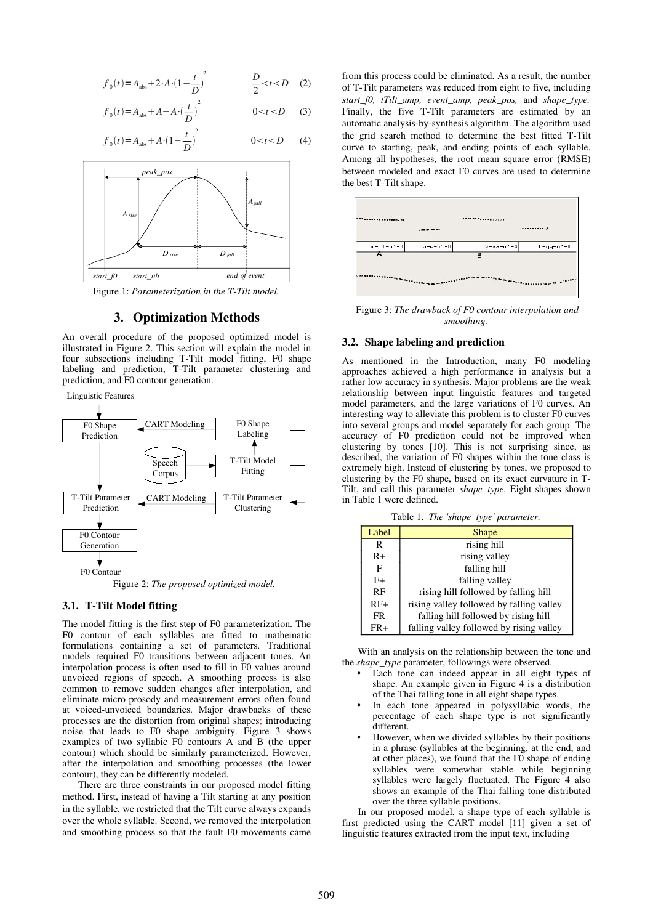$$
f_0(t) = A_{abs} + 2 \cdot A \cdot (1 - \frac{t}{D})^2
$$
  $\frac{D}{2} < t < D$  (2)

$$
f_0(t) = A_{\text{abs}} + A - A \cdot \left(\frac{t}{D}\right)^2 \qquad 0 < t < D \qquad (3)
$$

$$
f_0(t) = A_{\text{abs}} + A \cdot (1 - \frac{t}{D})^2 \qquad 0 < t < D \qquad (4)
$$



Figure 1: Parameterization in the T-Tilt model.

# 3. Optimization Methods

An overall procedure of the proposed optimized model is illustrated in Figure 2. This section will explain the model in four subsections including T-Tilt model fitting, F0 shape labeling and prediction, T-Tilt parameter clustering and prediction, and F0 contour generation.

Linguistic Features



Figure 2: *The proposed optimized model.*

### 3.1. T-Tilt Model fitting

The model fitting is the first step of F0 parameterization. The F0 contour of each syllables are fitted to mathematic formulations containing a set of parameters. Traditional models required F0 transitions between adjacent tones. An interpolation process is often used to fill in F0 values around unvoiced regions of speech. A smoothing process is also common to remove sudden changes after interpolation, and eliminate micro prosody and measurement errors often found at voiced-unvoiced boundaries. Major drawbacks of these processes are the distortion from original shapes; introducing noise that leads to F0 shape ambiguity. Figure 3 shows examples of two syllabic  $F_0$  contours A and B (the upper contour) which should be similarly parameterized. However, after the interpolation and smoothing processes (the lower contour), they can be differently modeled.

There are three constraints in our proposed model fitting method. First, instead of having a Tilt starting at any position in the syllable, we restricted that the Tilt curve always expands over the whole syllable. Second, we removed the interpolation and smoothing process so that the fault F0 movements came from this process could be eliminated. As a result, the number of T-Tilt parameters was reduced from eight to five, including *start\_f0, tTilt\_amp, event\_amp, peak\_pos,* and *shape\_type.* Finally, the five T-Tilt parameters are estimated by an automatic analysis-by-synthesis algorithm. The algorithm used the grid search method to determine the best fitted T-Tilt curve to starting, peak, and ending points of each syllable. Among all hypotheses, the root mean square error (RMSE) between modeled and exact F0 curves are used to determine the best T-Tilt shape.



 Figure 3: *The drawback of F0 contour interpolation and smoothing.*

### 3.2. Shape labeling and prediction

As mentioned in the Introduction, many F0 modeling approaches achieved a high performance in analysis but a rather low accuracy in synthesis. Major problems are the weak relationship between input linguistic features and targeted model parameters, and the large variations of F0 curves. An interesting way to alleviate this problem is to cluster F0 curves into several groups and model separately for each group. The accuracy of F0 prediction could not be improved when clustering by tones  $[10]$ . This is not surprising since, as described, the variation of F0 shapes within the tone class is extremely high. Instead of clustering by tones, we proposed to clustering by the F0 shape, based on its exact curvature in T-Tilt, and call this parameter *shape\_type.* Eight shapes shown in Table 1 were defined.

Table 1.  *The 'shape\_type' parameter.*

| Label     | <b>Shape</b>                             |
|-----------|------------------------------------------|
| R         | rising hill                              |
| R+        | rising valley                            |
| F         | falling hill                             |
| $F+$      | falling valley                           |
| RF        | rising hill followed by falling hill     |
| $RF+$     | rising valley followed by falling valley |
| <b>FR</b> | falling hill followed by rising hill     |
| FR+       | falling valley followed by rising valley |

With an analysis on the relationship between the tone and the *shape\_type* parameter, followings were observed.

- Each tone can indeed appear in all eight types of shape. An example given in Figure 4 is a distribution of the Thai falling tone in all eight shape types.
- In each tone appeared in polysyllabic words, the percentage of each shape type is not significantly different.
- However, when we divided syllables by their positions in a phrase (syllables at the beginning, at the end, and at other places), we found that the F0 shape of ending syllables were somewhat stable while beginning syllables were largely fluctuated. The Figure 4 also shows an example of the Thai falling tone distributed over the three syllable positions.

In our proposed model, a shape type of each syllable is first predicted using the CART model [11] given a set of linguistic features extracted from the input text, including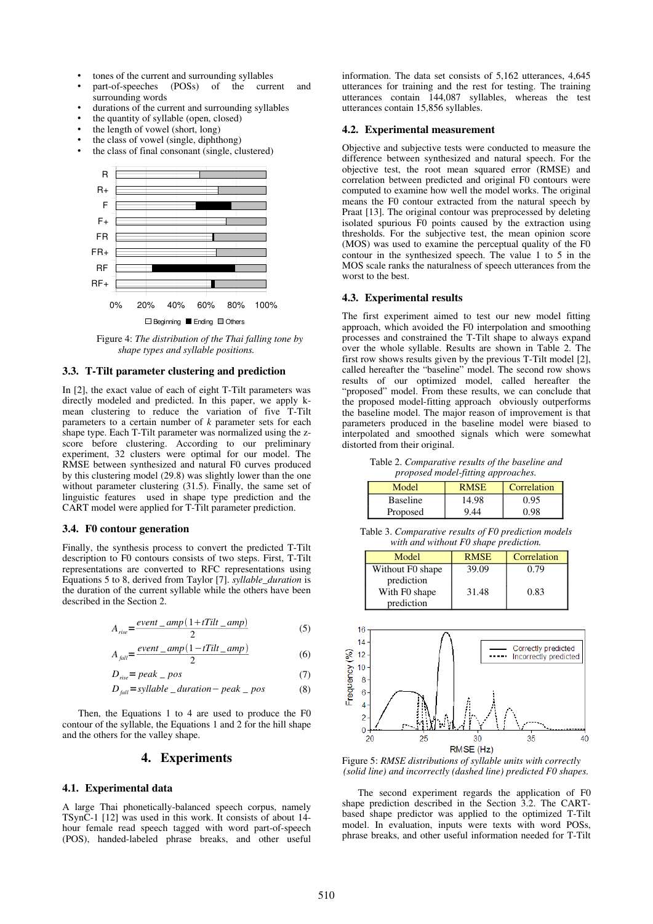- tones of the current and surrounding syllables
- part-of-speeches (POSs) of the current and surrounding words
- durations of the current and surrounding syllables
- the quantity of syllable (open, closed)
- the length of vowel (short, long)
- the class of vowel (single, diphthong) the class of final consonant (single, clustered)



 Figure 4: *The distribution of the Thai falling tone by shape types and syllable positions.*

#### 3.3. T-Tilt parameter clustering and prediction

In  $[2]$ , the exact value of each of eight T-Tilt parameters was directly modeled and predicted. In this paper, we apply kmean clustering to reduce the variation of five T-Tilt parameters to a certain number of  $k$  parameter sets for each shape type. Each T-Tilt parameter was normalized using the zscore before clustering. According to our preliminary experiment, 32 clusters were optimal for our model. The RMSE between synthesized and natural F0 curves produced by this clustering model (29.8) was slightly lower than the one without parameter clustering (31.5). Finally, the same set of linguistic features used in shape type prediction and the CART model were applied for T-Tilt parameter prediction.

#### 3.4. F0 contour generation

Finally, the synthesis process to convert the predicted T-Tilt description to F0 contours consists of two steps. First, T-Tilt representations are converted to RFC representations using Equations 5 to 8, derived from Taylor [7]. *syllable\_duration* is the duration of the current syllable while the others have been described in the Section 2.

$$
A_{rise} = \frac{event\_amp(1 + tTilt\_amp)}{2}
$$
 (5)

$$
A_{\text{fall}} = \frac{\text{event\_amp}(1 - tTilt\_amp)}{2} \tag{6}
$$

$$
D_{rise} = peak \_ pos \tag{7}
$$

$$
D_{\text{fall}} = \text{syllable} \_ \text{duration} - \text{peak} \_ \text{pos} \tag{8}
$$

Then, the Equations 1 to 4 are used to produce the F0 contour of the syllable, the Equations 1 and 2 for the hill shape and the others for the valley shape.

# 4. Experiments

### 4.1. Experimental data

A large Thai phonetically-balanced speech corpus, namely TSynC1 [12] was used in this work. It consists of about 14 hour female read speech tagged with word part-of-speech (POS), handed-labeled phrase breaks, and other useful information. The data set consists of 5,162 utterances, 4,645 utterances for training and the rest for testing. The training utterances contain 144,087 syllables, whereas the test utterances contain 15,856 syllables.

### 4.2. Experimental measurement

Objective and subjective tests were conducted to measure the difference between synthesized and natural speech. For the objective test, the root mean squared error (RMSE) and correlation between predicted and original F0 contours were computed to examine how well the model works. The original means the F0 contour extracted from the natural speech by Praat [13]. The original contour was preprocessed by deleting isolated spurious F0 points caused by the extraction using thresholds. For the subjective test, the mean opinion score (MOS) was used to examine the perceptual quality of the F0 contour in the synthesized speech. The value 1 to 5 in the MOS scale ranks the naturalness of speech utterances from the worst to the best.

#### 4.3. Experimental results

The first experiment aimed to test our new model fitting approach, which avoided the F0 interpolation and smoothing processes and constrained the T-Tilt shape to always expand over the whole syllable. Results are shown in Table 2. The first row shows results given by the previous  $T-Tilt$  model  $[2]$ , called hereafter the "baseline" model. The second row shows results of our optimized model, called hereafter the "proposed" model. From these results, we can conclude that the proposed model-fitting approach obviously outperforms the baseline model. The major reason of improvement is that parameters produced in the baseline model were biased to interpolated and smoothed signals which were somewhat distorted from their original.

Table 2. *Comparative results of the baseline and proposed model-fitting approaches.* 

| Model           | <b>RMSE</b> | Correlation |
|-----------------|-------------|-------------|
| <b>Baseline</b> | 14.98       | 0.95        |
| Proposed        | 944         | 0.98        |

Table 3. *Comparative results of F0 prediction models with and without F0 shape prediction.*

| Model            | <b>RMSE</b> | Correlation |
|------------------|-------------|-------------|
| Without F0 shape | 39.09       | 0.79        |
| prediction       |             |             |
| With F0 shape    | 31.48       | 0.83        |
| prediction       |             |             |



Figure 5: *RMSE distributions of syllable units with correctly (solid line) and incorrectly (dashed line) predicted F0 shapes.*

The second experiment regards the application of F0 shape prediction described in the Section 3.2. The CARTbased shape predictor was applied to the optimized T-Tilt model. In evaluation, inputs were texts with word POSs, phrase breaks, and other useful information needed for T-Tilt